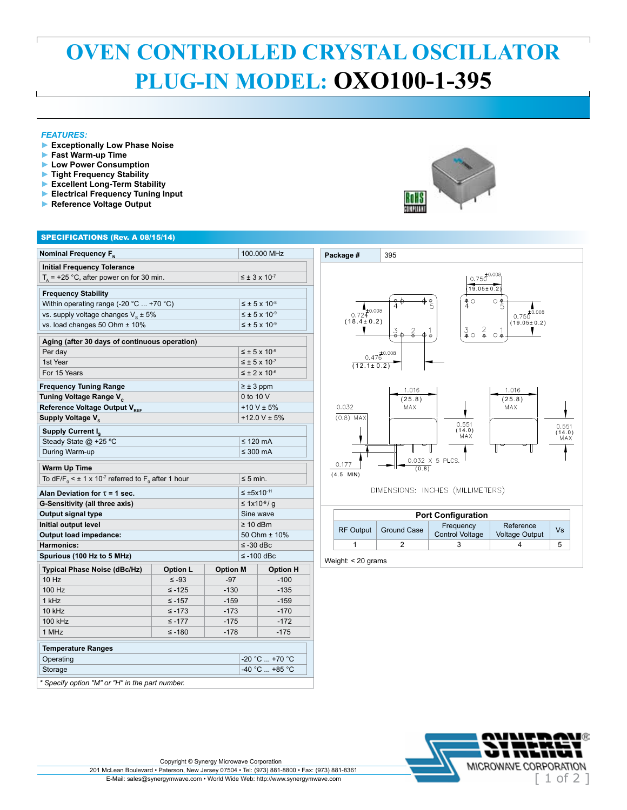## **OVEN CONTROLLED CRYSTAL OSCILLATOR PLUG-IN MODEL: OXO100-1-395**

## *FEATURES:*

- **► Exceptionally Low Phase Noise**
- **► Fast Warm-up Time**
- **► Low Power Consumption**
- **► Tight Frequency Stability ► Excellent Long-Term Stability**
- **► Electrical Frequency Tuning Input**
- **► Reference Voltage Output**



## SPECIFICATIONS (Rev. A 08/15/14)

| Nominal Frequency F <sub>N</sub>                                                          |                 |                  | 100.000 MHz                 |                             |  |
|-------------------------------------------------------------------------------------------|-----------------|------------------|-----------------------------|-----------------------------|--|
| <b>Initial Frequency Tolerance</b>                                                        |                 |                  |                             |                             |  |
| $T_a$ = +25 °C, after power on for 30 min.                                                |                 |                  |                             | $\leq \pm 3 \times 10^{-7}$ |  |
| <b>Frequency Stability</b>                                                                |                 |                  |                             |                             |  |
| Within operating range (-20 °C  +70 °C)                                                   |                 |                  | $\leq \pm 5 \times 10^{-8}$ |                             |  |
| vs. supply voltage changes $V_s \pm 5\%$                                                  |                 |                  | $\leq \pm 5 \times 10^{-9}$ |                             |  |
| vs. load changes 50 Ohm ± 10%                                                             |                 |                  |                             | $\leq \pm 5 \times 10^{-9}$ |  |
| Aging (after 30 days of continuous operation)                                             |                 |                  |                             |                             |  |
| Per day                                                                                   |                 |                  |                             | $\leq \pm 5 \times 10^{-9}$ |  |
| 1st Year                                                                                  |                 |                  | $\leq \pm 5 \times 10^{-7}$ |                             |  |
| For 15 Years                                                                              |                 |                  |                             | $\leq \pm 2 \times 10^{-6}$ |  |
| <b>Frequency Tuning Range</b>                                                             |                 |                  | $\geq \pm 3$ ppm            |                             |  |
| Tuning Voltage Range V <sub>c</sub>                                                       |                 |                  | 0 to 10 V                   |                             |  |
| Reference Voltage Output V <sub>REF</sub>                                                 |                 |                  | $+10 V \pm 5%$              |                             |  |
| Supply Voltage V <sub>s</sub>                                                             |                 |                  | +12.0 V $\pm$ 5%            |                             |  |
| Supply Current I <sub>s</sub>                                                             |                 |                  |                             |                             |  |
| Steady State @ +25 °C                                                                     |                 |                  | $\leq$ 120 mA               |                             |  |
| During Warm-up                                                                            |                 |                  | $\leq 300$ mA               |                             |  |
| Warm Up Time                                                                              |                 |                  |                             |                             |  |
| To dF/F <sub>0</sub> < $\pm$ 1 x 10 <sup>-7</sup> referred to F <sub>0</sub> after 1 hour |                 |                  |                             | $\leq 5$ min.               |  |
| Alan Deviation for $\tau$ = 1 sec.                                                        |                 |                  | $≤ ±5x10-11$                |                             |  |
| G-Sensitivity (all three axis)                                                            |                 |                  | ≤ 1x10-9/q                  |                             |  |
| Output signal type                                                                        |                 |                  | Sine wave                   |                             |  |
| Initial output level                                                                      |                 |                  | $\geq 10$ dBm               |                             |  |
| <b>Output load impedance:</b>                                                             |                 |                  | 50 Ohm ± 10%                |                             |  |
| Harmonics:                                                                                |                 |                  | $\le$ -30 dBc               |                             |  |
| Spurious (100 Hz to 5 MHz)                                                                |                 |                  | ≤ -100 dBc                  |                             |  |
| Typical Phase Noise (dBc/Hz)                                                              | <b>Option L</b> | <b>Option M</b>  |                             | <b>Option H</b>             |  |
| 10 Hz                                                                                     | $\leq -93$      | $-97$            |                             | $-100$                      |  |
| 100 Hz                                                                                    | $\leq -125$     | $-130$           |                             | $-135$                      |  |
| 1 kHz                                                                                     | $≤ -157$        | $-159$           |                             | $-159$                      |  |
| 10 kHz                                                                                    | $\leq -173$     | $-173$           |                             | $-170$                      |  |
| 100 kHz                                                                                   | $\leq -177$     | $-175$<br>$-172$ |                             |                             |  |
| 1 MHz                                                                                     | $≤ -180$        | $-178$<br>$-175$ |                             |                             |  |
| <b>Temperature Ranges</b>                                                                 |                 |                  |                             |                             |  |
| Operating                                                                                 |                 |                  | $-20 °C  +70 °C$            |                             |  |
| Storage                                                                                   |                 |                  | $-40 °C$ +85 °C             |                             |  |
| * Specify option "M" or "H" in the part number.                                           |                 |                  |                             |                             |  |



|                  |                    | <b>Port Configuration</b>    |                                    |    |
|------------------|--------------------|------------------------------|------------------------------------|----|
| <b>RF Output</b> | <b>Ground Case</b> | Frequency<br>Control Voltage | Reference<br><b>Voltage Output</b> | Vs |
|                  |                    |                              |                                    |    |

Weight: < 20 grams